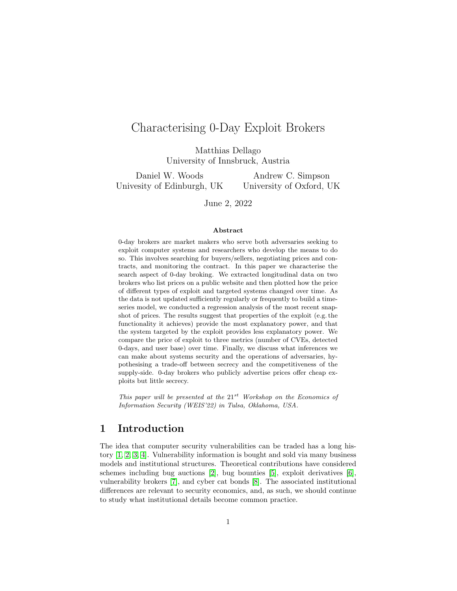# Characterising 0-Day Exploit Brokers

Matthias Dellago University of Innsbruck, Austria

Daniel W. Woods Univesity of Edinburgh, UK Andrew C. Simpson University of Oxford, UK

June 2, 2022

#### Abstract

0-day brokers are market makers who serve both adversaries seeking to exploit computer systems and researchers who develop the means to do so. This involves searching for buyers/sellers, negotiating prices and contracts, and monitoring the contract. In this paper we characterise the search aspect of 0-day broking. We extracted longitudinal data on two brokers who list prices on a public website and then plotted how the price of different types of exploit and targeted systems changed over time. As the data is not updated sufficiently regularly or frequently to build a timeseries model, we conducted a regression analysis of the most recent snapshot of prices. The results suggest that properties of the exploit (e.g. the functionality it achieves) provide the most explanatory power, and that the system targeted by the exploit provides less explanatory power. We compare the price of exploit to three metrics (number of CVEs, detected 0-days, and user base) over time. Finally, we discuss what inferences we can make about systems security and the operations of adversaries, hypothesising a trade-off between secrecy and the competitiveness of the supply-side. 0-day brokers who publicly advertise prices offer cheap exploits but little secrecy.

This paper will be presented at the  $21^{st}$  Workshop on the Economics of Information Security (WEIS'22) in Tulsa, Oklahoma, USA.

# 1 Introduction

The idea that computer security vulnerabilities can be traded has a long history [\[1,](#page-19-0) [2,](#page-19-1) [3,](#page-19-2) [4\]](#page-19-3). Vulnerability information is bought and sold via many business models and institutional structures. Theoretical contributions have considered schemes including bug auctions [\[2\]](#page-19-1), bug bounties [\[5\]](#page-19-4), exploit derivatives [\[6\]](#page-19-5), vulnerability brokers [\[7\]](#page-19-6), and cyber cat bonds [\[8\]](#page-19-7). The associated institutional differences are relevant to security economics, and, as such, we should continue to study what institutional details become common practice.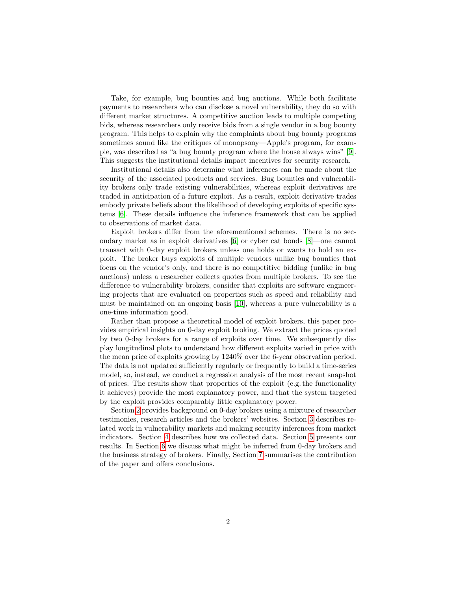Take, for example, bug bounties and bug auctions. While both facilitate payments to researchers who can disclose a novel vulnerability, they do so with different market structures. A competitive auction leads to multiple competing bids, whereas researchers only receive bids from a single vendor in a bug bounty program. This helps to explain why the complaints about bug bounty programs sometimes sound like the critiques of monopsony—Apple's program, for example, was described as "a bug bounty program where the house always wins" [\[9\]](#page-19-8). This suggests the institutional details impact incentives for security research.

Institutional details also determine what inferences can be made about the security of the associated products and services. Bug bounties and vulnerability brokers only trade existing vulnerabilities, whereas exploit derivatives are traded in anticipation of a future exploit. As a result, exploit derivative trades embody private beliefs about the likelihood of developing exploits of specific systems [\[6\]](#page-19-5). These details influence the inference framework that can be applied to observations of market data.

Exploit brokers differ from the aforementioned schemes. There is no secondary market as in exploit derivatives [\[6\]](#page-19-5) or cyber cat bonds [\[8\]](#page-19-7)—one cannot transact with 0-day exploit brokers unless one holds or wants to hold an exploit. The broker buys exploits of multiple vendors unlike bug bounties that focus on the vendor's only, and there is no competitive bidding (unlike in bug auctions) unless a researcher collects quotes from multiple brokers. To see the difference to vulnerability brokers, consider that exploits are software engineering projects that are evaluated on properties such as speed and reliability and must be maintained on an ongoing basis [\[10\]](#page-19-9), whereas a pure vulnerability is a one-time information good.

Rather than propose a theoretical model of exploit brokers, this paper provides empirical insights on 0-day exploit broking. We extract the prices quoted by two 0-day brokers for a range of exploits over time. We subsequently display longitudinal plots to understand how different exploits varied in price with the mean price of exploits growing by 1240% over the 6-year observation period. The data is not updated sufficiently regularly or frequently to build a time-series model, so, instead, we conduct a regression analysis of the most recent snapshot of prices. The results show that properties of the exploit (e.g. the functionality it achieves) provide the most explanatory power, and that the system targeted by the exploit provides comparably little explanatory power.

Section [2](#page-2-0) provides background on 0-day brokers using a mixture of researcher testimonies, research articles and the brokers' websites. Section [3](#page-3-0) describes related work in vulnerability markets and making security inferences from market indicators. Section [4](#page-5-0) describes how we collected data. Section [5](#page-7-0) presents our results. In Section [6](#page-15-0) we discuss what might be inferred from 0-day brokers and the business strategy of brokers. Finally, Section [7](#page-18-0) summarises the contribution of the paper and offers conclusions.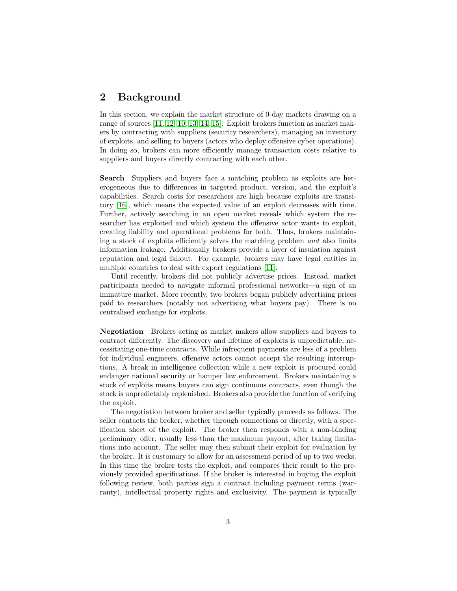# <span id="page-2-0"></span>2 Background

In this section, we explain the market structure of 0-day markets drawing on a range of sources [\[11,](#page-20-0) [12,](#page-20-1) [10,](#page-19-9) [13,](#page-20-2) [14,](#page-20-3) [15\]](#page-20-4). Exploit brokers function as market makers by contracting with suppliers (security researchers), managing an inventory of exploits, and selling to buyers (actors who deploy offensive cyber operations). In doing so, brokers can more efficiently manage transaction costs relative to suppliers and buyers directly contracting with each other.

Search Suppliers and buyers face a matching problem as exploits are heterogeneous due to differences in targeted product, version, and the exploit's capabilities. Search costs for researchers are high because exploits are transitory [\[16\]](#page-20-5), which means the expected value of an exploit decreases with time. Further, actively searching in an open market reveals which system the researcher has exploited and which system the offensive actor wants to exploit, creating liability and operational problems for both. Thus, brokers maintaining a stock of exploits efficiently solves the matching problem and also limits information leakage. Additionally brokers provide a layer of insulation against reputation and legal fallout. For example, brokers may have legal entities in multiple countries to deal with export regulations [\[11\]](#page-20-0).

Until recently, brokers did not publicly advertise prices. Instead, market participants needed to navigate informal professional networks—a sign of an immature market. More recently, two brokers began publicly advertising prices paid to researchers (notably not advertising what buyers pay). There is no centralised exchange for exploits.

Negotiation Brokers acting as market makers allow suppliers and buyers to contract differently. The discovery and lifetime of exploits is unpredictable, necessitating one-time contracts. While infrequent payments are less of a problem for individual engineers, offensive actors cannot accept the resulting interruptions. A break in intelligence collection while a new exploit is procured could endanger national security or hamper law enforcement. Brokers maintaining a stock of exploits means buyers can sign continuous contracts, even though the stock is unpredictably replenished. Brokers also provide the function of verifying the exploit.

The negotiation between broker and seller typically proceeds as follows. The seller contacts the broker, whether through connections or directly, with a specification sheet of the exploit. The broker then responds with a non-binding preliminary offer, usually less than the maximum payout, after taking limitations into account. The seller may then submit their exploit for evaluation by the broker. It is customary to allow for an assessment period of up to two weeks. In this time the broker tests the exploit, and compares their result to the previously provided specifications. If the broker is interested in buying the exploit following review, both parties sign a contract including payment terms (warranty), intellectual property rights and exclusivity. The payment is typically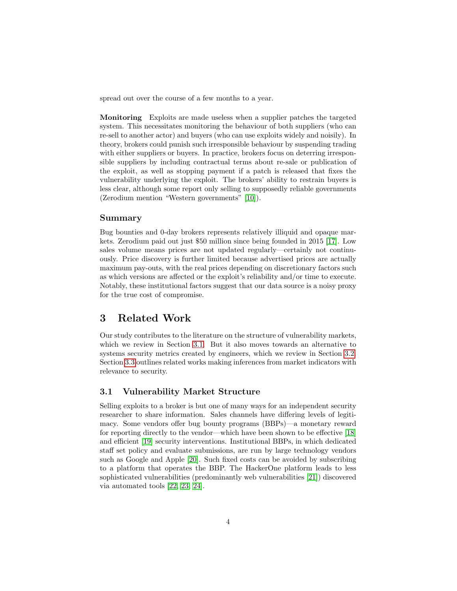spread out over the course of a few months to a year.

Monitoring Exploits are made useless when a supplier patches the targeted system. This necessitates monitoring the behaviour of both suppliers (who can re-sell to another actor) and buyers (who can use exploits widely and noisily). In theory, brokers could punish such irresponsible behaviour by suspending trading with either suppliers or buyers. In practice, brokers focus on deterring irresponsible suppliers by including contractual terms about re-sale or publication of the exploit, as well as stopping payment if a patch is released that fixes the vulnerability underlying the exploit. The brokers' ability to restrain buyers is less clear, although some report only selling to supposedly reliable governments (Zerodium mention "Western governments" [\[10\]](#page-19-9)).

#### Summary

Bug bounties and 0-day brokers represents relatively illiquid and opaque markets. Zerodium paid out just \$50 million since being founded in 2015 [\[17\]](#page-20-6). Low sales volume means prices are not updated regularly—certainly not continuously. Price discovery is further limited because advertised prices are actually maximum pay-outs, with the real prices depending on discretionary factors such as which versions are affected or the exploit's reliability and/or time to execute. Notably, these institutional factors suggest that our data source is a noisy proxy for the true cost of compromise.

### <span id="page-3-0"></span>3 Related Work

Our study contributes to the literature on the structure of vulnerability markets, which we review in Section [3.1.](#page-3-1) But it also moves towards an alternative to systems security metrics created by engineers, which we review in Section [3.2.](#page-4-0) Section [3.3](#page-5-1) outlines related works making inferences from market indicators with relevance to security.

### <span id="page-3-1"></span>3.1 Vulnerability Market Structure

Selling exploits to a broker is but one of many ways for an independent security researcher to share information. Sales channels have differing levels of legitimacy. Some vendors offer bug bounty programs (BBPs)—a monetary reward for reporting directly to the vendor—which have been shown to be effective [\[18\]](#page-20-7) and efficient [\[19\]](#page-20-8) security interventions. Institutional BBPs, in which dedicated staff set policy and evaluate submissions, are run by large technology vendors such as Google and Apple [\[20\]](#page-20-9). Such fixed costs can be avoided by subscribing to a platform that operates the BBP. The HackerOne platform leads to less sophisticated vulnerabilities (predominantly web vulnerabilities [\[21\]](#page-20-10)) discovered via automated tools [\[22,](#page-20-11) [23,](#page-20-12) [24\]](#page-20-13).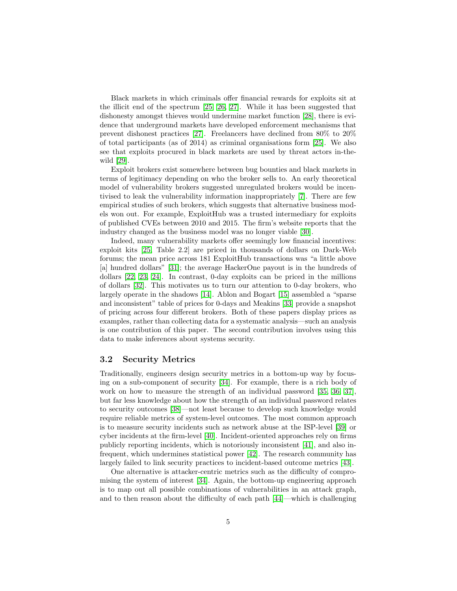Black markets in which criminals offer financial rewards for exploits sit at the illicit end of the spectrum [\[25,](#page-21-0) [26,](#page-21-1) [27\]](#page-21-2). While it has been suggested that dishonesty amongst thieves would undermine market function [\[28\]](#page-21-3), there is evidence that underground markets have developed enforcement mechanisms that prevent dishonest practices [\[27\]](#page-21-2). Freelancers have declined from 80% to 20% of total participants (as of 2014) as criminal organisations form [\[25\]](#page-21-0). We also see that exploits procured in black markets are used by threat actors in-thewild [\[29\]](#page-21-4).

Exploit brokers exist somewhere between bug bounties and black markets in terms of legitimacy depending on who the broker sells to. An early theoretical model of vulnerability brokers suggested unregulated brokers would be incentivised to leak the vulnerability information inappropriately [\[7\]](#page-19-6). There are few empirical studies of such brokers, which suggests that alternative business models won out. For example, ExploitHub was a trusted intermediary for exploits of published CVEs between 2010 and 2015. The firm's website reports that the industry changed as the business model was no longer viable [\[30\]](#page-21-5).

Indeed, many vulnerability markets offer seemingly low financial incentives: exploit kits [\[25,](#page-21-0) Table 2.2] are priced in thousands of dollars on Dark-Web forums; the mean price across 181 ExploitHub transactions was "a little above [a] hundred dollars" [\[31\]](#page-21-6); the average HackerOne payout is in the hundreds of dollars [\[22,](#page-20-11) [23,](#page-20-12) [24\]](#page-20-13). In contrast, 0-day exploits can be priced in the millions of dollars [\[32\]](#page-21-7). This motivates us to turn our attention to 0-day brokers, who largely operate in the shadows [\[14\]](#page-20-3). Ablon and Bogart [\[15\]](#page-20-4) assembled a "sparse and inconsistent" table of prices for 0-days and Meakins [\[33\]](#page-21-8) provide a snapshot of pricing across four different brokers. Both of these papers display prices as examples, rather than collecting data for a systematic analysis—such an analysis is one contribution of this paper. The second contribution involves using this data to make inferences about systems security.

#### <span id="page-4-0"></span>3.2 Security Metrics

Traditionally, engineers design security metrics in a bottom-up way by focusing on a sub-component of security [\[34\]](#page-21-9). For example, there is a rich body of work on how to measure the strength of an individual password [\[35,](#page-21-10) [36,](#page-21-11) [37\]](#page-22-0), but far less knowledge about how the strength of an individual password relates to security outcomes [\[38\]](#page-22-1)—not least because to develop such knowledge would require reliable metrics of system-level outcomes. The most common approach is to measure security incidents such as network abuse at the ISP-level [\[39\]](#page-22-2) or cyber incidents at the firm-level [\[40\]](#page-22-3). Incident-oriented approaches rely on firms publicly reporting incidents, which is notoriously inconsistent [\[41\]](#page-22-4), and also infrequent, which undermines statistical power [\[42\]](#page-22-5). The research community has largely failed to link security practices to incident-based outcome metrics [\[43\]](#page-22-6).

One alternative is attacker-centric metrics such as the difficulty of compromising the system of interest [\[34\]](#page-21-9). Again, the bottom-up engineering approach is to map out all possible combinations of vulnerabilities in an attack graph, and to then reason about the difficulty of each path [\[44\]](#page-22-7)—which is challenging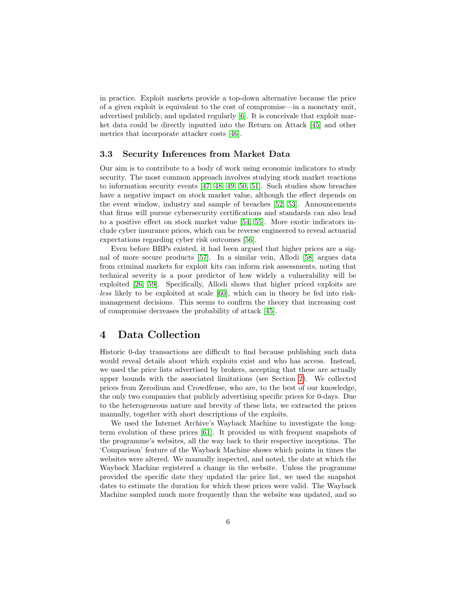in practice. Exploit markets provide a top-down alternative because the price of a given exploit is equivalent to the cost of compromise—in a monetary unit, advertised publicly, and updated regularly [\[6\]](#page-19-5). It is conceivale that exploit market data could be directly inputted into the Return on Attack [\[45\]](#page-22-8) and other metrics that incorporate attacker costs [\[46\]](#page-22-9).

#### <span id="page-5-1"></span>3.3 Security Inferences from Market Data

Our aim is to contribute to a body of work using economic indicators to study security. The most common approach involves studying stock market reactions to information security events [\[47,](#page-22-10) [48,](#page-22-11) [49,](#page-23-0) [50,](#page-23-1) [51\]](#page-23-2). Such studies show breaches have a negative impact on stock market value, although the effect depends on the event window, industry and sample of breaches [\[52,](#page-23-3) [53\]](#page-23-4). Announcements that firms will pursue cybersecurity certifications and standards can also lead to a positive effect on stock market value [\[54,](#page-23-5) [55\]](#page-23-6). More exotic indicators include cyber insurance prices, which can be reverse engineered to reveal actuarial expectations regarding cyber risk outcomes [\[56\]](#page-23-7).

Even before BBPs existed, it had been argued that higher prices are a signal of more secure products [\[57\]](#page-23-8). In a similar vein, Allodi [\[58\]](#page-23-9) argues data from criminal markets for exploit kits can inform risk assessments, noting that technical severity is a poor predictor of how widely a vulnerability will be exploited [\[26,](#page-21-1) [59\]](#page-23-10). Specifically, Allodi shows that higher priced exploits are less likely to be exploited at scale [\[60\]](#page-23-11), which can in theory be fed into riskmanagement decisions. This seems to confirm the theory that increasing cost of compromise decreases the probability of attack [\[45\]](#page-22-8).

### <span id="page-5-0"></span>4 Data Collection

Historic 0-day transactions are difficult to find because publishing such data would reveal details about which exploits exist and who has access. Instead, we used the price lists advertised by brokers, accepting that these are actually upper bounds with the associated limitations (see Section [2\)](#page-2-0). We collected prices from Zerodium and Crowdfense, who are, to the best of our knowledge, the only two companies that publicly advertising specific prices for 0-days. Due to the heterogeneous nature and brevity of these lists, we extracted the prices manually, together with short descriptions of the exploits.

We used the Internet Archive's Wayback Machine to investigate the longterm evolution of these prices [\[61\]](#page-23-12). It provided us with frequent snapshots of the programme's websites, all the way back to their respective inceptions. The 'Comparison' feature of the Wayback Machine shows which points in times the websites were altered. We manually inspected, and noted, the date at which the Wayback Machine registered a change in the website. Unless the programme provided the specific date they updated the price list, we used the snapshot dates to estimate the duration for which these prices were valid. The Wayback Machine sampled much more frequently than the website was updated, and so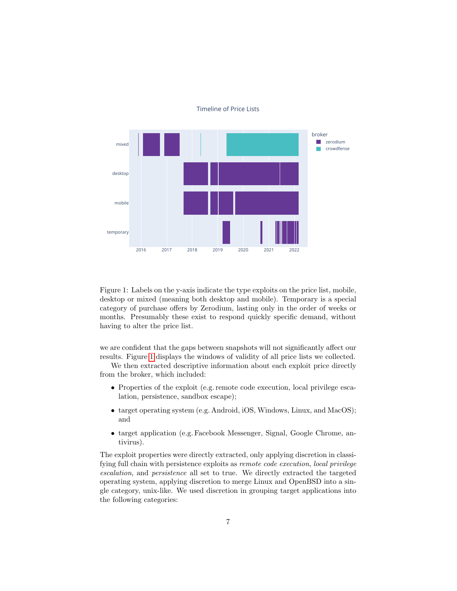

#### Timeline of Price Lists

<span id="page-6-0"></span>Figure 1: Labels on the y-axis indicate the type exploits on the price list, mobile, desktop or mixed (meaning both desktop and mobile). Temporary is a special category of purchase offers by Zerodium, lasting only in the order of weeks or months. Presumably these exist to respond quickly specific demand, without having to alter the price list.

we are confident that the gaps between snapshots will not significantly affect our results. Figure [1](#page-6-0) displays the windows of validity of all price lists we collected.

We then extracted descriptive information about each exploit price directly from the broker, which included:

- Properties of the exploit (e.g. remote code execution, local privilege escalation, persistence, sandbox escape);
- target operating system (e.g. Android, iOS, Windows, Linux, and MacOS); and
- target application (e.g. Facebook Messenger, Signal, Google Chrome, antivirus).

The exploit properties were directly extracted, only applying discretion in classifying full chain with persistence exploits as remote code execution, local privilege escalation, and persistence all set to true. We directly extracted the targeted operating system, applying discretion to merge Linux and OpenBSD into a single category, unix-like. We used discretion in grouping target applications into the following categories: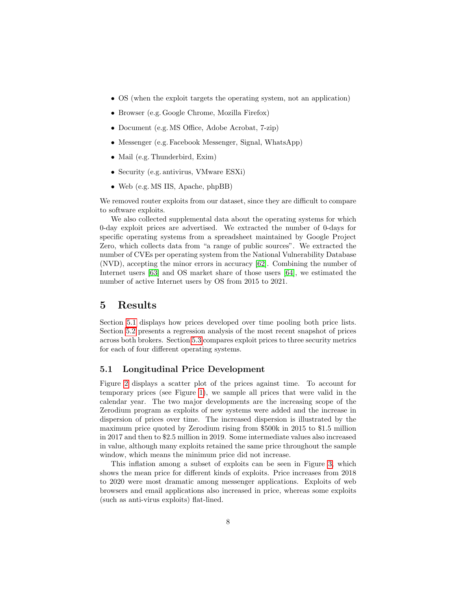- OS (when the exploit targets the operating system, not an application)
- Browser (e.g. Google Chrome, Mozilla Firefox)
- Document (e.g. MS Office, Adobe Acrobat, 7-zip)
- Messenger (e.g. Facebook Messenger, Signal, WhatsApp)
- Mail (e.g. Thunderbird, Exim)
- Security (e.g. antivirus, VMware ESXi)
- Web (e.g. MS IIS, Apache, phpBB)

We removed router exploits from our dataset, since they are difficult to compare to software exploits.

We also collected supplemental data about the operating systems for which 0-day exploit prices are advertised. We extracted the number of 0-days for specific operating systems from a spreadsheet maintained by Google Project Zero, which collects data from "a range of public sources". We extracted the number of CVEs per operating system from the National Vulnerability Database (NVD), accepting the minor errors in accuracy [\[62\]](#page-24-0). Combining the number of Internet users [\[63\]](#page-24-1) and OS market share of those users [\[64\]](#page-24-2), we estimated the number of active Internet users by OS from 2015 to 2021.

# <span id="page-7-0"></span>5 Results

Section [5.1](#page-7-1) displays how prices developed over time pooling both price lists. Section [5.2](#page-9-0) presents a regression analysis of the most recent snapshot of prices across both brokers. Section [5.3](#page-13-0) compares exploit prices to three security metrics for each of four different operating systems.

### <span id="page-7-1"></span>5.1 Longitudinal Price Development

Figure [2](#page-8-0) displays a scatter plot of the prices against time. To account for temporary prices (see Figure [1\)](#page-6-0), we sample all prices that were valid in the calendar year. The two major developments are the increasing scope of the Zerodium program as exploits of new systems were added and the increase in dispersion of prices over time. The increased dispersion is illustrated by the maximum price quoted by Zerodium rising from \$500k in 2015 to \$1.5 million in 2017 and then to \$2.5 million in 2019. Some intermediate values also increased in value, although many exploits retained the same price throughout the sample window, which means the minimum price did not increase.

This inflation among a subset of exploits can be seen in Figure [3,](#page-8-1) which shows the mean price for different kinds of exploits. Price increases from 2018 to 2020 were most dramatic among messenger applications. Exploits of web browsers and email applications also increased in price, whereas some exploits (such as anti-virus exploits) flat-lined.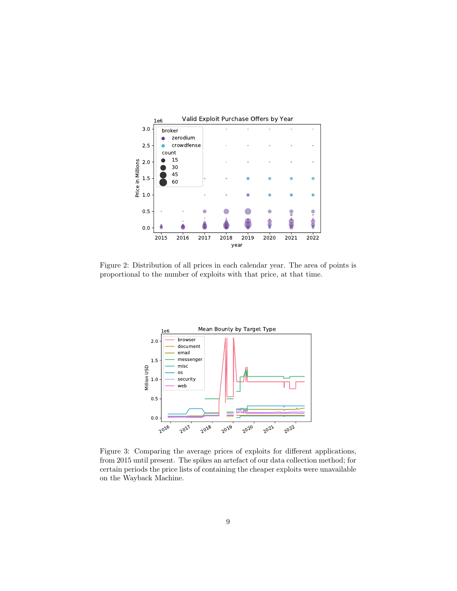

<span id="page-8-0"></span>Figure 2: Distribution of all prices in each calendar year. The area of points is proportional to the number of exploits with that price, at that time.



<span id="page-8-1"></span>Figure 3: Comparing the average prices of exploits for different applications, from 2015 until present. The spikes an artefact of our data collection method; for certain periods the price lists of containing the cheaper exploits were unavailable on the Wayback Machine.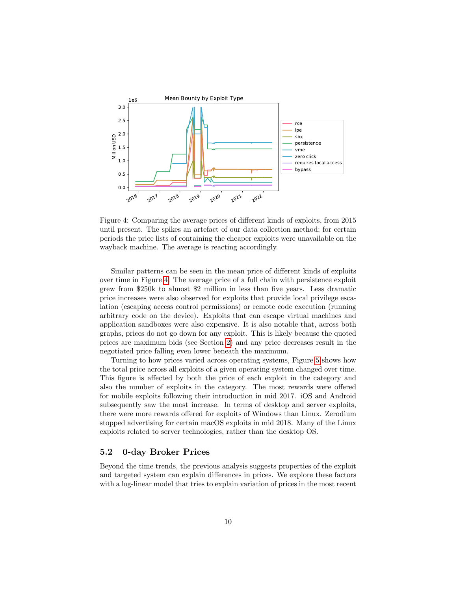

<span id="page-9-1"></span>Figure 4: Comparing the average prices of different kinds of exploits, from 2015 until present. The spikes an artefact of our data collection method; for certain periods the price lists of containing the cheaper exploits were unavailable on the wayback machine. The average is reacting accordingly.

Similar patterns can be seen in the mean price of different kinds of exploits over time in Figure [4.](#page-9-1) The average price of a full chain with persistence exploit grew from \$250k to almost \$2 million in less than five years. Less dramatic price increases were also observed for exploits that provide local privilege escalation (escaping access control permissions) or remote code execution (running arbitrary code on the device). Exploits that can escape virtual machines and application sandboxes were also expensive. It is also notable that, across both graphs, prices do not go down for any exploit. This is likely because the quoted prices are maximum bids (see Section [2\)](#page-2-0) and any price decreases result in the negotiated price falling even lower beneath the maximum.

Turning to how prices varied across operating systems, Figure [5](#page-11-0) shows how the total price across all exploits of a given operating system changed over time. This figure is affected by both the price of each exploit in the category and also the number of exploits in the category. The most rewards were offered for mobile exploits following their introduction in mid 2017. iOS and Android subsequently saw the most increase. In terms of desktop and server exploits, there were more rewards offered for exploits of Windows than Linux. Zerodium stopped advertising for certain macOS exploits in mid 2018. Many of the Linux exploits related to server technologies, rather than the desktop OS.

#### <span id="page-9-0"></span>5.2 0-day Broker Prices

Beyond the time trends, the previous analysis suggests properties of the exploit and targeted system can explain differences in prices. We explore these factors with a log-linear model that tries to explain variation of prices in the most recent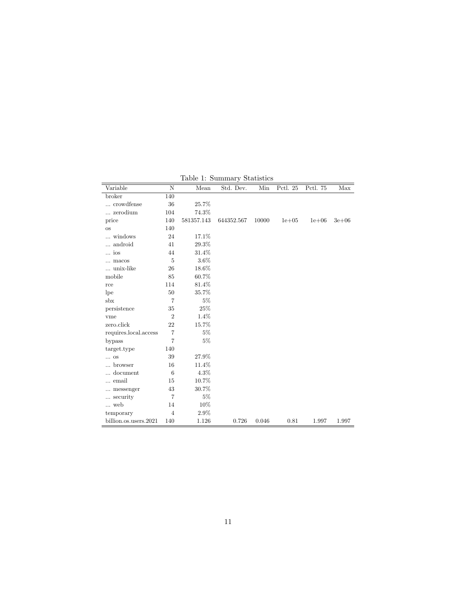| Variable              | N              | Mean       | Std. Dev.  | Min   | Pctl. 25  | Pctl. 75  | Max       |
|-----------------------|----------------|------------|------------|-------|-----------|-----------|-----------|
| broker                | 140            |            |            |       |           |           |           |
| crowdfense            | 36             | 25.7%      |            |       |           |           |           |
| zerodium              | 104            | 74.3%      |            |       |           |           |           |
| price                 | 140            | 581357.143 | 644352.567 | 10000 | $1e + 05$ | $1e + 06$ | $3e + 06$ |
| <b>OS</b>             | 140            |            |            |       |           |           |           |
| windows               | 24             | 17.1%      |            |       |           |           |           |
| android<br>$\cdots$   | 41             | 29.3%      |            |       |           |           |           |
| ios                   | 44             | 31.4%      |            |       |           |           |           |
| macos                 | 5              | $3.6\%$    |            |       |           |           |           |
| unix-like             | 26             | 18.6%      |            |       |           |           |           |
| mobile                | 85             | 60.7%      |            |       |           |           |           |
| rce                   | 114            | 81.4%      |            |       |           |           |           |
| lpe                   | 50             | 35.7%      |            |       |           |           |           |
| $_{\rm sbx}$          | $\overline{7}$ | $5\%$      |            |       |           |           |           |
| persistence           | 35             | 25%        |            |       |           |           |           |
| vme                   | $\overline{2}$ | 1.4%       |            |       |           |           |           |
| zero.click            | 22             | 15.7%      |            |       |           |           |           |
| requires.local.access | 7              | $5\%$      |            |       |           |           |           |
| bypass                | $\overline{7}$ | $5\%$      |            |       |           |           |           |
| target.type           | 140            |            |            |       |           |           |           |
| $\ldots$ OS           | 39             | 27.9%      |            |       |           |           |           |
| browser               | 16             | 11.4%      |            |       |           |           |           |
| document              | 6              | 4.3%       |            |       |           |           |           |
| email                 | 15             | 10.7%      |            |       |           |           |           |
| messenger             | 43             | 30.7%      |            |       |           |           |           |
| security              | $\overline{7}$ | $5\%$      |            |       |           |           |           |
| web                   | 14             | 10%        |            |       |           |           |           |
| temporary             | $\overline{4}$ | 2.9%       |            |       |           |           |           |
| billion.os.users.2021 | 140            | 1.126      | 0.726      | 0.046 | 0.81      | 1.997     | 1.997     |

Table 1: Summary Statistics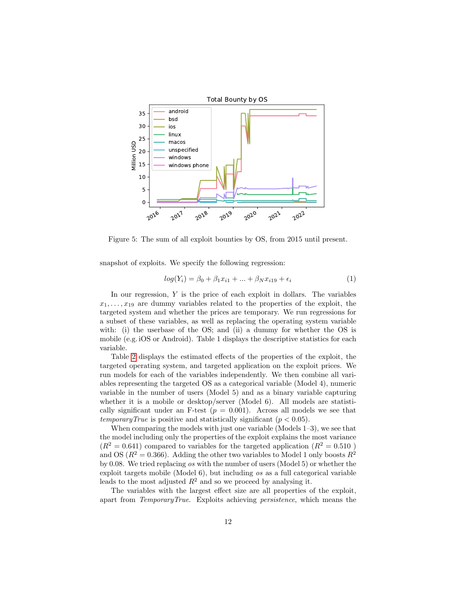

<span id="page-11-0"></span>Figure 5: The sum of all exploit bounties by OS, from 2015 until present.

snapshot of exploits. We specify the following regression:

$$
log(Y_i) = \beta_0 + \beta_1 x_{i1} + \dots + \beta_N x_{i19} + \epsilon_i \tag{1}
$$

In our regression,  $Y$  is the price of each exploit in dollars. The variables  $x_1, \ldots, x_{19}$  are dummy variables related to the properties of the exploit, the targeted system and whether the prices are temporary. We run regressions for a subset of these variables, as well as replacing the operating system variable with: (i) the userbase of the OS; and (ii) a dummy for whether the OS is mobile (e.g. iOS or Android). Table 1 displays the descriptive statistics for each variable.

Table [2](#page-12-0) displays the estimated effects of the properties of the exploit, the targeted operating system, and targeted application on the exploit prices. We run models for each of the variables independently. We then combine all variables representing the targeted OS as a categorical variable (Model 4), numeric variable in the number of users (Model 5) and as a binary variable capturing whether it is a mobile or desktop/server (Model 6). All models are statistically significant under an F-test  $(p = 0.001)$ . Across all models we see that *temporaryTrue* is positive and statistically significant ( $p < 0.05$ ).

When comparing the models with just one variable (Models 1–3), we see that the model including only the properties of the exploit explains the most variance  $(R^2 = 0.641)$  compared to variables for the targeted application  $(R^2 = 0.510)$ and OS ( $R^2 = 0.366$ ). Adding the other two variables to Model 1 only boosts  $R^2$ by 0.08. We tried replacing os with the number of users (Model 5) or whether the exploit targets mobile (Model 6), but including os as a full categorical variable leads to the most adjusted  $R^2$  and so we proceed by analysing it.

The variables with the largest effect size are all properties of the exploit, apart from TemporaryTrue. Exploits achieving persistence, which means the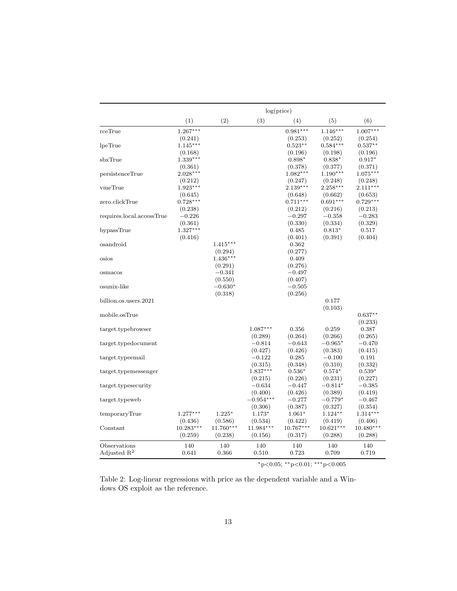| (1)<br>(2)<br>(3)<br>(5)<br>(6)<br>(4)<br>$1.267***$<br>$0.981***$<br>$1.146***$<br>$1.007***$<br>rceTrue<br>(0.241)<br>(0.252)<br>(0.254)<br>(0.253)<br>$1.145***$<br>lpeTrue<br>$0.523**$<br>$0.584***$<br>$0.537**$<br>(0.168)<br>(0.196)<br>(0.198)<br>(0.196)<br>$1.339***$<br>sbxTrue<br>$0.898*$<br>$0.838*$<br>$0.917*$<br>(0.361)<br>(0.378)<br>(0.377)<br>(0.371) |  |
|-----------------------------------------------------------------------------------------------------------------------------------------------------------------------------------------------------------------------------------------------------------------------------------------------------------------------------------------------------------------------------|--|
|                                                                                                                                                                                                                                                                                                                                                                             |  |
|                                                                                                                                                                                                                                                                                                                                                                             |  |
|                                                                                                                                                                                                                                                                                                                                                                             |  |
|                                                                                                                                                                                                                                                                                                                                                                             |  |
|                                                                                                                                                                                                                                                                                                                                                                             |  |
|                                                                                                                                                                                                                                                                                                                                                                             |  |
| $2.028***$<br>$1.082***$<br>$1.190***$<br>$1.075***$<br>persistenceTrue                                                                                                                                                                                                                                                                                                     |  |
| (0.212)<br>(0.247)<br>(0.248)<br>(0.248)                                                                                                                                                                                                                                                                                                                                    |  |
| $1.923***$<br>$2.139***$<br>$2.258***$<br>$2.111***$<br>vmeTrue                                                                                                                                                                                                                                                                                                             |  |
| (0.645)<br>(0.648)<br>(0.662)<br>(0.653)                                                                                                                                                                                                                                                                                                                                    |  |
| $0.728***$<br>zero.clickTrue<br>$0.711***$<br>$0.691***$<br>$0.729***$                                                                                                                                                                                                                                                                                                      |  |
| (0.238)<br>(0.212)<br>(0.216)<br>(0.213)                                                                                                                                                                                                                                                                                                                                    |  |
| requires.local.accessTrue<br>$-0.226$<br>$-0.297$<br>$-0.358$<br>$-0.283$                                                                                                                                                                                                                                                                                                   |  |
| (0.330)<br>(0.334)<br>(0.329)<br>(0.361)                                                                                                                                                                                                                                                                                                                                    |  |
| $1.327***$<br>$0.813*$<br>bypassTrue<br>0.485<br>0.517                                                                                                                                                                                                                                                                                                                      |  |
| (0.416)<br>(0.401)<br>(0.391)<br>(0.404)<br>osandroid<br>$1.415***$<br>0.362                                                                                                                                                                                                                                                                                                |  |
| (0.294)<br>(0.277)                                                                                                                                                                                                                                                                                                                                                          |  |
| $1.436***$<br>0.409<br>osios                                                                                                                                                                                                                                                                                                                                                |  |
| (0.291)<br>(0.276)                                                                                                                                                                                                                                                                                                                                                          |  |
| $-0.341$<br>$-0.497$<br>osmacos                                                                                                                                                                                                                                                                                                                                             |  |
| (0.550)<br>(0.407)                                                                                                                                                                                                                                                                                                                                                          |  |
| $-0.630*$<br>$-0.505$<br>osunix-like                                                                                                                                                                                                                                                                                                                                        |  |
| (0.318)<br>(0.256)                                                                                                                                                                                                                                                                                                                                                          |  |
| 0.177<br>billion.os.users.2021                                                                                                                                                                                                                                                                                                                                              |  |
| (0.103)<br>$0.637**$<br>mobile.osTrue                                                                                                                                                                                                                                                                                                                                       |  |
| (0.233)                                                                                                                                                                                                                                                                                                                                                                     |  |
| $1.087***$<br>target.typebrowser<br>0.356<br>0.259<br>0.387                                                                                                                                                                                                                                                                                                                 |  |
| (0.264)<br>(0.266)<br>(0.265)<br>(0.289)                                                                                                                                                                                                                                                                                                                                    |  |
| $-0.965*$<br>$-0.643$<br>$-0.470$<br>target.typedocument<br>$-0.814$                                                                                                                                                                                                                                                                                                        |  |
| (0.427)<br>(0.426)<br>(0.383)<br>(0.415)                                                                                                                                                                                                                                                                                                                                    |  |
| $-0.122$<br>0.285<br>$-0.100$<br>0.191<br>target.typeemail                                                                                                                                                                                                                                                                                                                  |  |
| (0.315)<br>(0.348)<br>(0.310)<br>(0.332)                                                                                                                                                                                                                                                                                                                                    |  |
| $1.837***$<br>$0.536*$<br>$0.574*$<br>$0.539*$<br>target.typemessenger                                                                                                                                                                                                                                                                                                      |  |
| (0.215)<br>(0.226)<br>(0.231)<br>(0.227)<br>$-0.814*$<br>$-0.385$<br>target.typesecurity<br>$-0.634$<br>$^{\rm -0.447}$                                                                                                                                                                                                                                                     |  |
| (0.400)<br>(0.426)<br>(0.389)<br>(0.419)                                                                                                                                                                                                                                                                                                                                    |  |
| $-0.954***$<br>$-0.277$<br>$-0.779^{*}$<br>target.typeweb<br>$^{\rm -0.467}$                                                                                                                                                                                                                                                                                                |  |
| (0.306)<br>(0.387)<br>(0.354)<br>(0.327)                                                                                                                                                                                                                                                                                                                                    |  |
| $1.277***$<br>$1.225*$<br>$1.124**$<br>$1.314***$<br>temporaryTrue<br>1.173*<br>$1.061*$                                                                                                                                                                                                                                                                                    |  |
| (0.436)<br>(0.586)<br>(0.534)<br>(0.422)<br>(0.419)<br>(0.406)                                                                                                                                                                                                                                                                                                              |  |
| $10.283***$<br>$11.760***$<br>$11.984***$<br>$10.767***$<br>$10.480***$<br>$10.621***$<br>Constant                                                                                                                                                                                                                                                                          |  |
| (0.259)<br>(0.288)<br>(0.288)<br>(0.238)<br>(0.156)<br>(0.317)                                                                                                                                                                                                                                                                                                              |  |
| Observations<br>140<br>140<br>140<br>140<br>140<br>140                                                                                                                                                                                                                                                                                                                      |  |
| Adjusted $\mathbb{R}^2$<br>0.641<br>0.366<br>0.723<br>0.709<br>0.719<br>0.510                                                                                                                                                                                                                                                                                               |  |

<sup>∗</sup>p<0.05; ∗∗p<0.01; ∗∗∗p<0.005

<span id="page-12-0"></span>Table 2: Log-linear regressions with price as the dependent variable and a Windows OS exploit as the reference.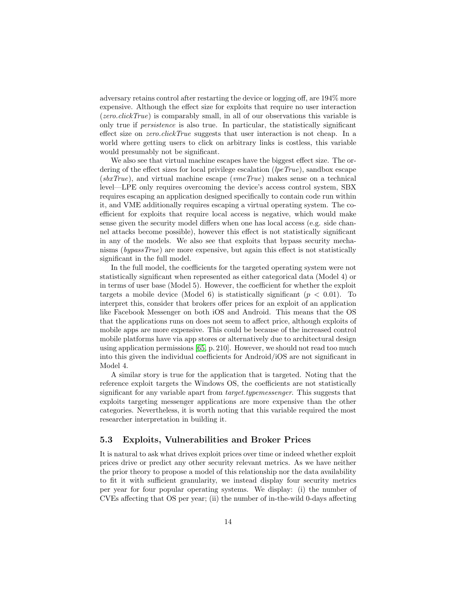adversary retains control after restarting the device or logging off, are 194% more expensive. Although the effect size for exploits that require no user interaction (zero.clickTrue) is comparably small, in all of our observations this variable is only true if persistence is also true. In particular, the statistically significant effect size on zero.clickTrue suggests that user interaction is not cheap. In a world where getting users to click on arbitrary links is costless, this variable would presumably not be significant.

We also see that virtual machine escapes have the biggest effect size. The ordering of the effect sizes for local privilege escalation  $(lepTrue)$ , sandbox escape  $(sbxTrue)$ , and virtual machine escape  $(vmeTrue)$  makes sense on a technical level—LPE only requires overcoming the device's access control system, SBX requires escaping an application designed specifically to contain code run within it, and VME additionally requires escaping a virtual operating system. The coefficient for exploits that require local access is negative, which would make sense given the security model differs when one has local access (e.g. side channel attacks become possible), however this effect is not statistically significant in any of the models. We also see that exploits that bypass security mechanisms (bypassTrue) are more expensive, but again this effect is not statistically significant in the full model.

In the full model, the coefficients for the targeted operating system were not statistically significant when represented as either categorical data (Model 4) or in terms of user base (Model 5). However, the coefficient for whether the exploit targets a mobile device (Model 6) is statistically significant ( $p < 0.01$ ). To interpret this, consider that brokers offer prices for an exploit of an application like Facebook Messenger on both iOS and Android. This means that the OS that the applications runs on does not seem to affect price, although exploits of mobile apps are more expensive. This could be because of the increased control mobile platforms have via app stores or alternatively due to architectural design using application permissions [\[65,](#page-24-3) p. 210]. However, we should not read too much into this given the individual coefficients for Android/iOS are not significant in Model 4.

A similar story is true for the application that is targeted. Noting that the reference exploit targets the Windows OS, the coefficients are not statistically significant for any variable apart from target.typemessenger. This suggests that exploits targeting messenger applications are more expensive than the other categories. Nevertheless, it is worth noting that this variable required the most researcher interpretation in building it.

#### <span id="page-13-0"></span>5.3 Exploits, Vulnerabilities and Broker Prices

It is natural to ask what drives exploit prices over time or indeed whether exploit prices drive or predict any other security relevant metrics. As we have neither the prior theory to propose a model of this relationship nor the data availability to fit it with sufficient granularity, we instead display four security metrics per year for four popular operating systems. We display: (i) the number of CVEs affecting that OS per year; (ii) the number of in-the-wild 0-days affecting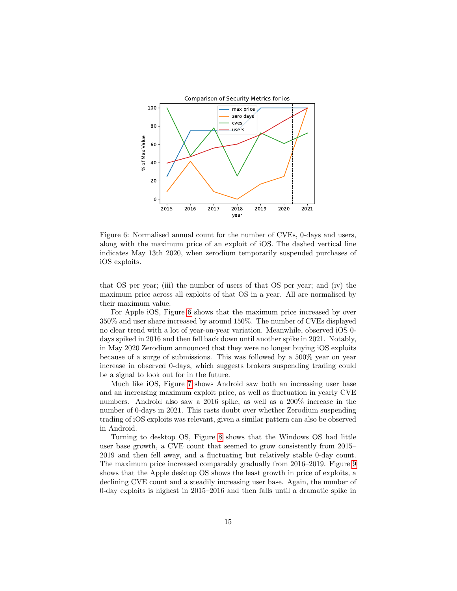

<span id="page-14-0"></span>Figure 6: Normalised annual count for the number of CVEs, 0-days and users, along with the maximum price of an exploit of iOS. The dashed vertical line indicates May 13th 2020, when zerodium temporarily suspended purchases of iOS exploits.

that OS per year; (iii) the number of users of that OS per year; and (iv) the maximum price across all exploits of that OS in a year. All are normalised by their maximum value.

For Apple iOS, Figure [6](#page-14-0) shows that the maximum price increased by over 350% and user share increased by around 150%. The number of CVEs displayed no clear trend with a lot of year-on-year variation. Meanwhile, observed iOS 0 days spiked in 2016 and then fell back down until another spike in 2021. Notably, in May 2020 Zerodium announced that they were no longer buying iOS exploits because of a surge of submissions. This was followed by a 500% year on year increase in observed 0-days, which suggests brokers suspending trading could be a signal to look out for in the future.

Much like iOS, Figure [7](#page-15-1) shows Android saw both an increasing user base and an increasing maximum exploit price, as well as fluctuation in yearly CVE numbers. Android also saw a 2016 spike, as well as a 200% increase in the number of 0-days in 2021. This casts doubt over whether Zerodium suspending trading of iOS exploits was relevant, given a similar pattern can also be observed in Android.

Turning to desktop OS, Figure [8](#page-16-0) shows that the Windows OS had little user base growth, a CVE count that seemed to grow consistently from 2015– 2019 and then fell away, and a fluctuating but relatively stable 0-day count. The maximum price increased comparably gradually from 2016–2019. Figure [9](#page-16-1) shows that the Apple desktop OS shows the least growth in price of exploits, a declining CVE count and a steadily increasing user base. Again, the number of 0-day exploits is highest in 2015–2016 and then falls until a dramatic spike in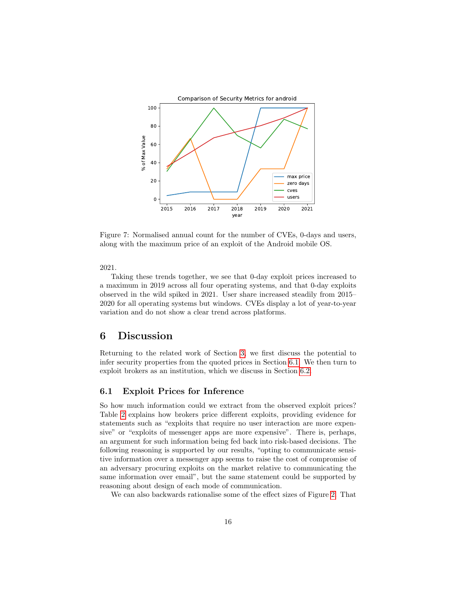

<span id="page-15-1"></span>Figure 7: Normalised annual count for the number of CVEs, 0-days and users, along with the maximum price of an exploit of the Android mobile OS.

2021.

Taking these trends together, we see that 0-day exploit prices increased to a maximum in 2019 across all four operating systems, and that 0-day exploits observed in the wild spiked in 2021. User share increased steadily from 2015– 2020 for all operating systems but windows. CVEs display a lot of year-to-year variation and do not show a clear trend across platforms.

# <span id="page-15-0"></span>6 Discussion

Returning to the related work of Section [3,](#page-3-0) we first discuss the potential to infer security properties from the quoted prices in Section [6.1.](#page-15-2) We then turn to exploit brokers as an institution, which we discuss in Section [6.2.](#page-17-0)

### <span id="page-15-2"></span>6.1 Exploit Prices for Inference

So how much information could we extract from the observed exploit prices? Table [2](#page-12-0) explains how brokers price different exploits, providing evidence for statements such as "exploits that require no user interaction are more expensive" or "exploits of messenger apps are more expensive". There is, perhaps, an argument for such information being fed back into risk-based decisions. The following reasoning is supported by our results, "opting to communicate sensitive information over a messenger app seems to raise the cost of compromise of an adversary procuring exploits on the market relative to communicating the same information over email", but the same statement could be supported by reasoning about design of each mode of communication.

We can also backwards rationalise some of the effect sizes of Figure [2.](#page-12-0) That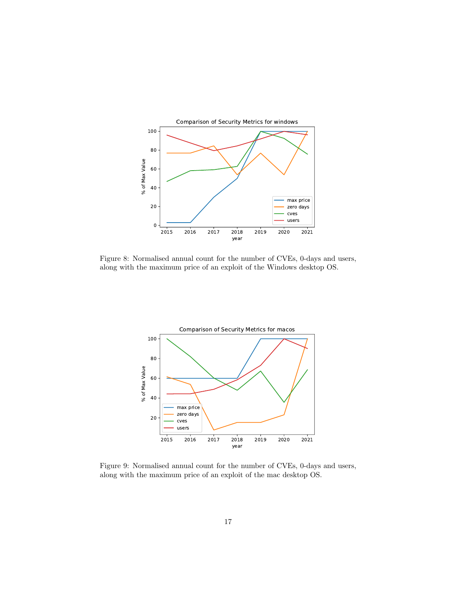

<span id="page-16-0"></span>Figure 8: Normalised annual count for the number of CVEs, 0-days and users, along with the maximum price of an exploit of the Windows desktop OS.



<span id="page-16-1"></span>Figure 9: Normalised annual count for the number of CVEs, 0-days and users, along with the maximum price of an exploit of the mac desktop OS.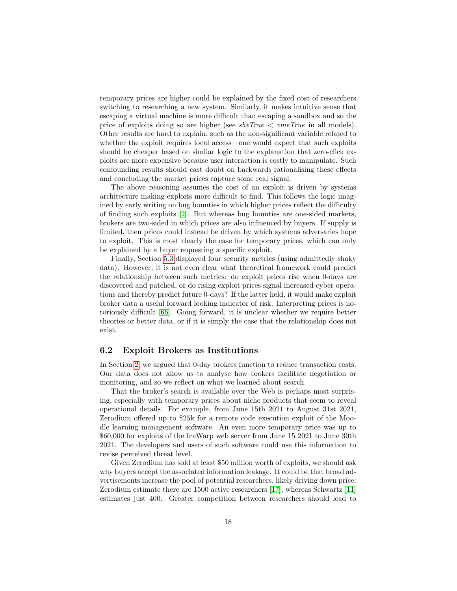temporary prices are higher could be explained by the fixed cost of researchers switching to researching a new system. Similarly, it makes intuitive sense that escaping a virtual machine is more difficult than escaping a sandbox and so the price of exploits doing so are higher (see  $sbxTrue < vmeTrue$  in all models). Other results are hard to explain, such as the non-significant variable related to whether the exploit requires local access—one would expect that such exploits should be cheaper based on similar logic to the explanation that zero-click exploits are more expensive because user interaction is costly to manipulate. Such confounding results should cast doubt on backwards rationalising these effects and concluding the market prices capture some real signal.

The above reasoning assumes the cost of an exploit is driven by systems architecture making exploits more difficult to find. This follows the logic imagined by early writing on bug bounties in which higher prices reflect the difficulty of finding such exploits [\[2\]](#page-19-1). But whereas bug bounties are one-sided markets, brokers are two-sided in which prices are also influenced by buyers. If supply is limited, then prices could instead be driven by which systems adversaries hope to exploit. This is most clearly the case for temporary prices, which can only be explained by a buyer requesting a specific exploit.

Finally, Section [5.3](#page-13-0) displayed four security metrics (using admittedly shaky data). However, it is not even clear what theoretical framework could predict the relationship between such metrics: do exploit prices rise when 0-days are discovered and patched, or do rising exploit prices signal increased cyber operations and thereby predict future 0-days? If the latter held, it would make exploit broker data a useful forward looking indicator of risk. Interpreting prices is notoriously difficult [\[66\]](#page-24-4). Going forward, it is unclear whether we require better theories or better data, or if it is simply the case that the relationship does not exist.

#### <span id="page-17-0"></span>6.2 Exploit Brokers as Institutions

In Section [2,](#page-2-0) we argued that 0-day brokers function to reduce transaction costs. Our data does not allow us to analyse how brokers facilitate negotiation or monitoring, and so we reflect on what we learned about search.

That the broker's search is available over the Web is perhaps most surprising, especially with temporary prices about niche products that seem to reveal operational details. For example, from June 15th 2021 to August 31st 2021, Zerodium offered up to \$25k for a remote code execution exploit of the Moodle learning management software. An even more temporary price was up to \$60,000 for exploits of the IceWarp web server from June 15 2021 to June 30th 2021. The developers and users of such software could use this information to revise perceived threat level.

Given Zerodium has sold at least \$50 million worth of exploits, we should ask why buyers accept the associated information leakage. It could be that broad advertisements increase the pool of potential researchers, likely driving down price: Zerodium estimate there are 1500 active researchers [\[17\]](#page-20-6), whereas Schwartz [\[11\]](#page-20-0) estimates just 400. Greater competition between researchers should lead to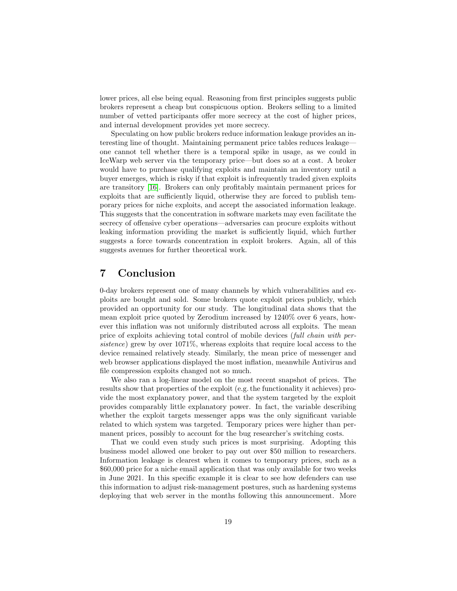lower prices, all else being equal. Reasoning from first principles suggests public brokers represent a cheap but conspicuous option. Brokers selling to a limited number of vetted participants offer more secrecy at the cost of higher prices, and internal development provides yet more secrecy.

Speculating on how public brokers reduce information leakage provides an interesting line of thought. Maintaining permanent price tables reduces leakage one cannot tell whether there is a temporal spike in usage, as we could in IceWarp web server via the temporary price—but does so at a cost. A broker would have to purchase qualifying exploits and maintain an inventory until a buyer emerges, which is risky if that exploit is infrequently traded given exploits are transitory [\[16\]](#page-20-5). Brokers can only profitably maintain permanent prices for exploits that are sufficiently liquid, otherwise they are forced to publish temporary prices for niche exploits, and accept the associated information leakage. This suggests that the concentration in software markets may even facilitate the secrecy of offensive cyber operations—adversaries can procure exploits without leaking information providing the market is sufficiently liquid, which further suggests a force towards concentration in exploit brokers. Again, all of this suggests avenues for further theoretical work.

# <span id="page-18-0"></span>7 Conclusion

0-day brokers represent one of many channels by which vulnerabilities and exploits are bought and sold. Some brokers quote exploit prices publicly, which provided an opportunity for our study. The longitudinal data shows that the mean exploit price quoted by Zerodium increased by 1240% over 6 years, however this inflation was not uniformly distributed across all exploits. The mean price of exploits achieving total control of mobile devices (full chain with persistence) grew by over 1071%, whereas exploits that require local access to the device remained relatively steady. Similarly, the mean price of messenger and web browser applications displayed the most inflation, meanwhile Antivirus and file compression exploits changed not so much.

We also ran a log-linear model on the most recent snapshot of prices. The results show that properties of the exploit (e.g. the functionality it achieves) provide the most explanatory power, and that the system targeted by the exploit provides comparably little explanatory power. In fact, the variable describing whether the exploit targets messenger apps was the only significant variable related to which system was targeted. Temporary prices were higher than permanent prices, possibly to account for the bug researcher's switching costs.

That we could even study such prices is most surprising. Adopting this business model allowed one broker to pay out over \$50 million to researchers. Information leakage is clearest when it comes to temporary prices, such as a \$60,000 price for a niche email application that was only available for two weeks in June 2021. In this specific example it is clear to see how defenders can use this information to adjust risk-management postures, such as hardening systems deploying that web server in the months following this announcement. More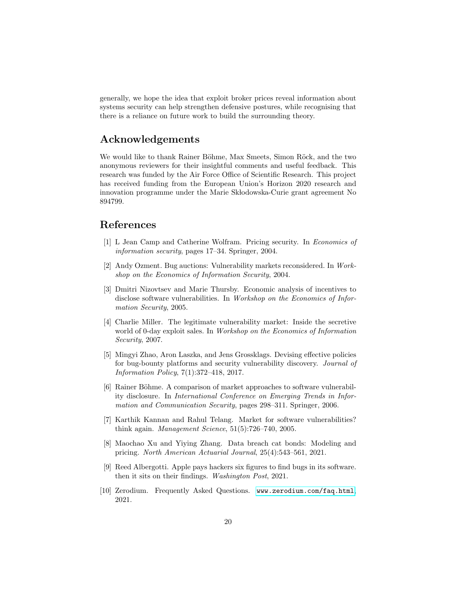generally, we hope the idea that exploit broker prices reveal information about systems security can help strengthen defensive postures, while recognising that there is a reliance on future work to build the surrounding theory.

# Acknowledgements

We would like to thank Rainer Böhme, Max Smeets, Simon Röck, and the two anonymous reviewers for their insightful comments and useful feedback. This research was funded by the Air Force Office of Scientific Research. This project has received funding from the European Union's Horizon 2020 research and innovation programme under the Marie Skłodowska-Curie grant agreement No 894799.

## References

- <span id="page-19-0"></span>[1] L Jean Camp and Catherine Wolfram. Pricing security. In Economics of information security, pages 17–34. Springer, 2004.
- <span id="page-19-1"></span>[2] Andy Ozment. Bug auctions: Vulnerability markets reconsidered. In Workshop on the Economics of Information Security, 2004.
- <span id="page-19-2"></span>[3] Dmitri Nizovtsev and Marie Thursby. Economic analysis of incentives to disclose software vulnerabilities. In Workshop on the Economics of Information Security, 2005.
- <span id="page-19-3"></span>[4] Charlie Miller. The legitimate vulnerability market: Inside the secretive world of 0-day exploit sales. In *Workshop on the Economics of Information* Security, 2007.
- <span id="page-19-4"></span>[5] Mingyi Zhao, Aron Laszka, and Jens Grossklags. Devising effective policies for bug-bounty platforms and security vulnerability discovery. Journal of Information Policy, 7(1):372–418, 2017.
- <span id="page-19-5"></span>[6] Rainer Böhme. A comparison of market approaches to software vulnerability disclosure. In International Conference on Emerging Trends in Information and Communication Security, pages 298–311. Springer, 2006.
- <span id="page-19-6"></span>[7] Karthik Kannan and Rahul Telang. Market for software vulnerabilities? think again. Management Science, 51(5):726–740, 2005.
- <span id="page-19-7"></span>[8] Maochao Xu and Yiying Zhang. Data breach cat bonds: Modeling and pricing. North American Actuarial Journal, 25(4):543–561, 2021.
- <span id="page-19-8"></span>[9] Reed Albergotti. Apple pays hackers six figures to find bugs in its software. then it sits on their findings. Washington Post, 2021.
- <span id="page-19-9"></span>[10] Zerodium. Frequently Asked Questions. <www.zerodium.com/faq.html>, 2021.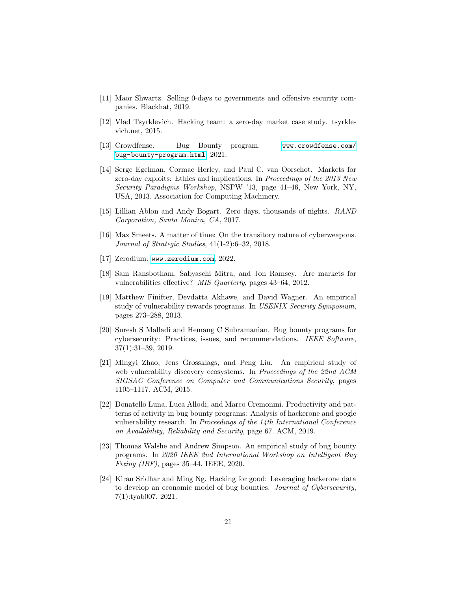- <span id="page-20-0"></span>[11] Maor Shwartz. Selling 0-days to governments and offensive security companies. Blackhat, 2019.
- <span id="page-20-1"></span>[12] Vlad Tsyrklevich. Hacking team: a zero-day market case study. tsyrklevich.net, 2015.
- <span id="page-20-2"></span>[13] Crowdfense. Bug Bounty program. [www.crowdfense.com/](www.crowdfense.com/bug-bounty-program.html) [bug-bounty-program.html](www.crowdfense.com/bug-bounty-program.html), 2021.
- <span id="page-20-3"></span>[14] Serge Egelman, Cormac Herley, and Paul C. van Oorschot. Markets for zero-day exploits: Ethics and implications. In Proceedings of the 2013 New Security Paradigms Workshop, NSPW '13, page 41–46, New York, NY, USA, 2013. Association for Computing Machinery.
- <span id="page-20-4"></span>[15] Lillian Ablon and Andy Bogart. Zero days, thousands of nights. RAND Corporation, Santa Monica, CA, 2017.
- <span id="page-20-5"></span>[16] Max Smeets. A matter of time: On the transitory nature of cyberweapons. Journal of Strategic Studies, 41(1-2):6–32, 2018.
- <span id="page-20-6"></span>[17] Zerodium. <www.zerodium.com>, 2022.
- <span id="page-20-7"></span>[18] Sam Ransbotham, Sabyaschi Mitra, and Jon Ramsey. Are markets for vulnerabilities effective? MIS Quarterly, pages 43–64, 2012.
- <span id="page-20-8"></span>[19] Matthew Finifter, Devdatta Akhawe, and David Wagner. An empirical study of vulnerability rewards programs. In USENIX Security Symposium, pages 273–288, 2013.
- <span id="page-20-9"></span>[20] Suresh S Malladi and Hemang C Subramanian. Bug bounty programs for cybersecurity: Practices, issues, and recommendations. IEEE Software, 37(1):31–39, 2019.
- <span id="page-20-10"></span>[21] Mingyi Zhao, Jens Grossklags, and Peng Liu. An empirical study of web vulnerability discovery ecosystems. In Proceedings of the 22nd ACM SIGSAC Conference on Computer and Communications Security, pages 1105–1117. ACM, 2015.
- <span id="page-20-11"></span>[22] Donatello Luna, Luca Allodi, and Marco Cremonini. Productivity and patterns of activity in bug bounty programs: Analysis of hackerone and google vulnerability research. In Proceedings of the 14th International Conference on Availability, Reliability and Security, page 67. ACM, 2019.
- <span id="page-20-12"></span>[23] Thomas Walshe and Andrew Simpson. An empirical study of bug bounty programs. In 2020 IEEE 2nd International Workshop on Intelligent Bug Fixing (IBF), pages 35–44. IEEE, 2020.
- <span id="page-20-13"></span>[24] Kiran Sridhar and Ming Ng. Hacking for good: Leveraging hackerone data to develop an economic model of bug bounties. Journal of Cybersecurity, 7(1):tyab007, 2021.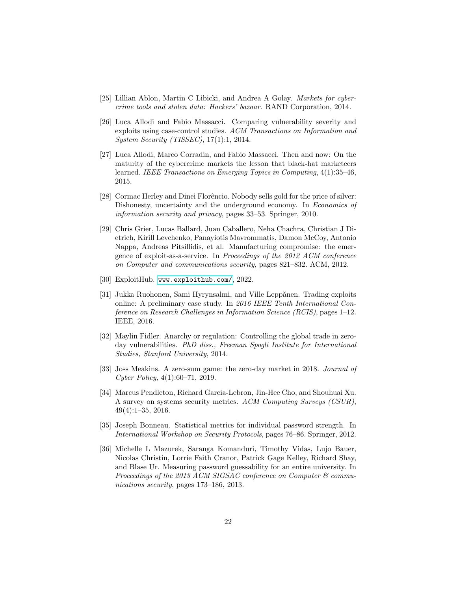- <span id="page-21-0"></span>[25] Lillian Ablon, Martin C Libicki, and Andrea A Golay. Markets for cybercrime tools and stolen data: Hackers' bazaar. RAND Corporation, 2014.
- <span id="page-21-1"></span>[26] Luca Allodi and Fabio Massacci. Comparing vulnerability severity and exploits using case-control studies. ACM Transactions on Information and System Security (TISSEC), 17(1):1, 2014.
- <span id="page-21-2"></span>[27] Luca Allodi, Marco Corradin, and Fabio Massacci. Then and now: On the maturity of the cybercrime markets the lesson that black-hat marketeers learned. IEEE Transactions on Emerging Topics in Computing, 4(1):35–46, 2015.
- <span id="page-21-3"></span>[28] Cormac Herley and Dinei Florêncio. Nobody sells gold for the price of silver: Dishonesty, uncertainty and the underground economy. In Economics of information security and privacy, pages 33–53. Springer, 2010.
- <span id="page-21-4"></span>[29] Chris Grier, Lucas Ballard, Juan Caballero, Neha Chachra, Christian J Dietrich, Kirill Levchenko, Panayiotis Mavrommatis, Damon McCoy, Antonio Nappa, Andreas Pitsillidis, et al. Manufacturing compromise: the emergence of exploit-as-a-service. In Proceedings of the 2012 ACM conference on Computer and communications security, pages 821–832. ACM, 2012.
- <span id="page-21-5"></span>[30] ExploitHub. <www.exploithub.com/>, 2022.
- <span id="page-21-6"></span>[31] Jukka Ruohonen, Sami Hyrynsalmi, and Ville Leppănen. Trading exploits online: A preliminary case study. In 2016 IEEE Tenth International Conference on Research Challenges in Information Science (RCIS), pages 1–12. IEEE, 2016.
- <span id="page-21-7"></span>[32] Maylin Fidler. Anarchy or regulation: Controlling the global trade in zeroday vulnerabilities. PhD diss., Freeman Spogli Institute for International Studies, Stanford University, 2014.
- <span id="page-21-8"></span>[33] Joss Meakins. A zero-sum game: the zero-day market in 2018. Journal of Cyber Policy, 4(1):60–71, 2019.
- <span id="page-21-9"></span>[34] Marcus Pendleton, Richard Garcia-Lebron, Jin-Hee Cho, and Shouhuai Xu. A survey on systems security metrics. ACM Computing Surveys (CSUR), 49(4):1–35, 2016.
- <span id="page-21-10"></span>[35] Joseph Bonneau. Statistical metrics for individual password strength. In International Workshop on Security Protocols, pages 76–86. Springer, 2012.
- <span id="page-21-11"></span>[36] Michelle L Mazurek, Saranga Komanduri, Timothy Vidas, Lujo Bauer, Nicolas Christin, Lorrie Faith Cranor, Patrick Gage Kelley, Richard Shay, and Blase Ur. Measuring password guessability for an entire university. In Proceedings of the 2013 ACM SIGSAC conference on Computer  $\mathcal C$  communications security, pages 173–186, 2013.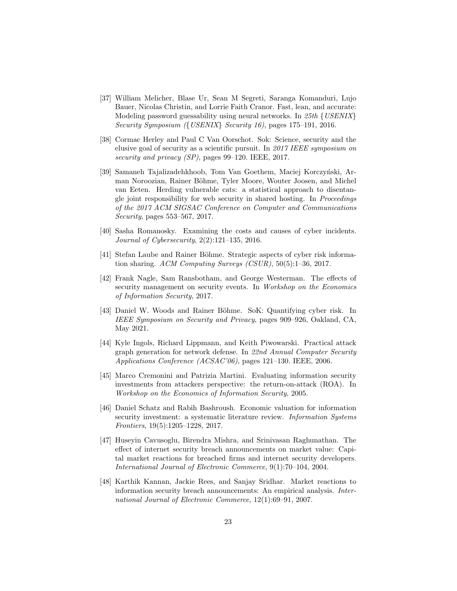- <span id="page-22-0"></span>[37] William Melicher, Blase Ur, Sean M Segreti, Saranga Komanduri, Lujo Bauer, Nicolas Christin, and Lorrie Faith Cranor. Fast, lean, and accurate: Modeling password guessability using neural networks. In  $25th \{ \text{USENIX} \}$ Security Symposium ({USENIX} Security 16), pages 175–191, 2016.
- <span id="page-22-1"></span>[38] Cormac Herley and Paul C Van Oorschot. Sok: Science, security and the elusive goal of security as a scientific pursuit. In 2017 IEEE symposium on security and privacy (SP), pages 99–120. IEEE, 2017.
- <span id="page-22-2"></span>[39] Samaneh Tajalizadehkhoob, Tom Van Goethem, Maciej Korczyński, Arman Noroozian, Rainer Böhme, Tyler Moore, Wouter Joosen, and Michel van Eeten. Herding vulnerable cats: a statistical approach to disentangle joint responsibility for web security in shared hosting. In Proceedings of the 2017 ACM SIGSAC Conference on Computer and Communications Security, pages 553–567, 2017.
- <span id="page-22-3"></span>[40] Sasha Romanosky. Examining the costs and causes of cyber incidents. Journal of Cybersecurity, 2(2):121–135, 2016.
- <span id="page-22-4"></span>[41] Stefan Laube and Rainer Böhme. Strategic aspects of cyber risk information sharing. ACM Computing Surveys (CSUR), 50(5):1–36, 2017.
- <span id="page-22-5"></span>[42] Frank Nagle, Sam Ransbotham, and George Westerman. The effects of security management on security events. In Workshop on the Economics of Information Security, 2017.
- <span id="page-22-6"></span>[43] Daniel W. Woods and Rainer Böhme. SoK: Quantifying cyber risk. In IEEE Symposium on Security and Privacy, pages 909–926, Oakland, CA, May 2021.
- <span id="page-22-7"></span>[44] Kyle Ingols, Richard Lippmann, and Keith Piwowarski. Practical attack graph generation for network defense. In 22nd Annual Computer Security Applications Conference (ACSAC'06), pages 121–130. IEEE, 2006.
- <span id="page-22-8"></span>[45] Marco Cremonini and Patrizia Martini. Evaluating information security investments from attackers perspective: the return-on-attack (ROA). In Workshop on the Economics of Information Security, 2005.
- <span id="page-22-9"></span>[46] Daniel Schatz and Rabih Bashroush. Economic valuation for information security investment: a systematic literature review. Information Systems Frontiers, 19(5):1205–1228, 2017.
- <span id="page-22-10"></span>[47] Huseyin Cavusoglu, Birendra Mishra, and Srinivasan Raghunathan. The effect of internet security breach announcements on market value: Capital market reactions for breached firms and internet security developers. International Journal of Electronic Commerce, 9(1):70–104, 2004.
- <span id="page-22-11"></span>[48] Karthik Kannan, Jackie Rees, and Sanjay Sridhar. Market reactions to information security breach announcements: An empirical analysis. International Journal of Electronic Commerce, 12(1):69–91, 2007.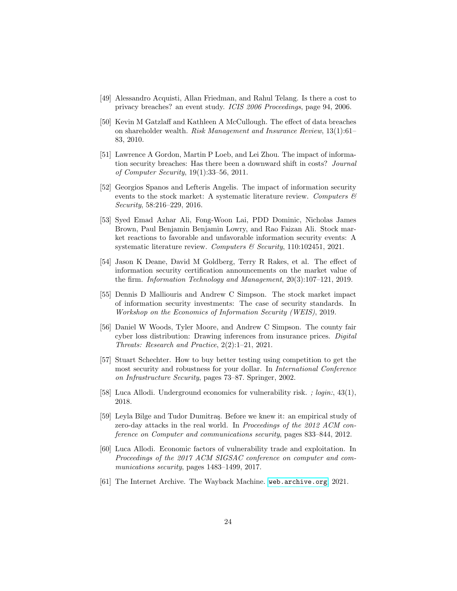- <span id="page-23-0"></span>[49] Alessandro Acquisti, Allan Friedman, and Rahul Telang. Is there a cost to privacy breaches? an event study. ICIS 2006 Proceedings, page 94, 2006.
- <span id="page-23-1"></span>[50] Kevin M Gatzlaff and Kathleen A McCullough. The effect of data breaches on shareholder wealth. Risk Management and Insurance Review, 13(1):61– 83, 2010.
- <span id="page-23-2"></span>[51] Lawrence A Gordon, Martin P Loeb, and Lei Zhou. The impact of information security breaches: Has there been a downward shift in costs? Journal of Computer Security, 19(1):33–56, 2011.
- <span id="page-23-3"></span>[52] Georgios Spanos and Lefteris Angelis. The impact of information security events to the stock market: A systematic literature review. Computers  $\mathcal{C}$ Security, 58:216–229, 2016.
- <span id="page-23-4"></span>[53] Syed Emad Azhar Ali, Fong-Woon Lai, PDD Dominic, Nicholas James Brown, Paul Benjamin Benjamin Lowry, and Rao Faizan Ali. Stock market reactions to favorable and unfavorable information security events: A systematic literature review. Computers & Security, 110:102451, 2021.
- <span id="page-23-5"></span>[54] Jason K Deane, David M Goldberg, Terry R Rakes, et al. The effect of information security certification announcements on the market value of the firm. Information Technology and Management, 20(3):107–121, 2019.
- <span id="page-23-6"></span>[55] Dennis D Malliouris and Andrew C Simpson. The stock market impact of information security investments: The case of security standards. In Workshop on the Economics of Information Security (WEIS), 2019.
- <span id="page-23-7"></span>[56] Daniel W Woods, Tyler Moore, and Andrew C Simpson. The county fair cyber loss distribution: Drawing inferences from insurance prices. Digital Threats: Research and Practice, 2(2):1–21, 2021.
- <span id="page-23-8"></span>[57] Stuart Schechter. How to buy better testing using competition to get the most security and robustness for your dollar. In International Conference on Infrastructure Security, pages 73–87. Springer, 2002.
- <span id="page-23-9"></span>[58] Luca Allodi. Underground economics for vulnerability risk. ; login:, 43(1), 2018.
- <span id="page-23-10"></span>[59] Leyla Bilge and Tudor Dumitraş. Before we knew it: an empirical study of zero-day attacks in the real world. In Proceedings of the 2012 ACM conference on Computer and communications security, pages 833–844, 2012.
- <span id="page-23-11"></span>[60] Luca Allodi. Economic factors of vulnerability trade and exploitation. In Proceedings of the 2017 ACM SIGSAC conference on computer and communications security, pages 1483–1499, 2017.
- <span id="page-23-12"></span>[61] The Internet Archive. The Wayback Machine. <web.archive.org>, 2021.